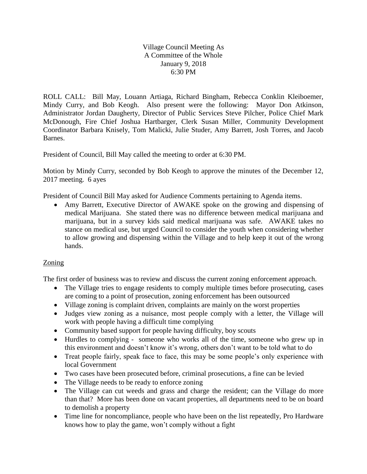Village Council Meeting As A Committee of the Whole January 9, 2018 6:30 PM

ROLL CALL: Bill May, Louann Artiaga, Richard Bingham, Rebecca Conklin Kleiboemer, Mindy Curry, and Bob Keogh. Also present were the following: Mayor Don Atkinson, Administrator Jordan Daugherty, Director of Public Services Steve Pilcher, Police Chief Mark McDonough, Fire Chief Joshua Hartbarger, Clerk Susan Miller, Community Development Coordinator Barbara Knisely, Tom Malicki, Julie Studer, Amy Barrett, Josh Torres, and Jacob Barnes.

President of Council, Bill May called the meeting to order at 6:30 PM.

Motion by Mindy Curry, seconded by Bob Keogh to approve the minutes of the December 12, 2017 meeting. 6 ayes

President of Council Bill May asked for Audience Comments pertaining to Agenda items.

 Amy Barrett, Executive Director of AWAKE spoke on the growing and dispensing of medical Marijuana. She stated there was no difference between medical marijuana and marijuana, but in a survey kids said medical marijuana was safe. AWAKE takes no stance on medical use, but urged Council to consider the youth when considering whether to allow growing and dispensing within the Village and to help keep it out of the wrong hands.

## Zoning

The first order of business was to review and discuss the current zoning enforcement approach.

- The Village tries to engage residents to comply multiple times before prosecuting, cases are coming to a point of prosecution, zoning enforcement has been outsourced
- Village zoning is complaint driven, complaints are mainly on the worst properties
- Judges view zoning as a nuisance, most people comply with a letter, the Village will work with people having a difficult time complying
- Community based support for people having difficulty, boy scouts
- Hurdles to complying someone who works all of the time, someone who grew up in this environment and doesn't know it's wrong, others don't want to be told what to do
- Treat people fairly, speak face to face, this may be some people's only experience with local Government
- Two cases have been prosecuted before, criminal prosecutions, a fine can be levied
- The Village needs to be ready to enforce zoning
- The Village can cut weeds and grass and charge the resident; can the Village do more than that? More has been done on vacant properties, all departments need to be on board to demolish a property
- Time line for noncompliance, people who have been on the list repeatedly, Pro Hardware knows how to play the game, won't comply without a fight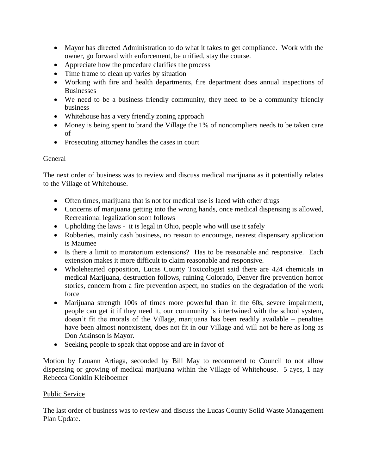- Mayor has directed Administration to do what it takes to get compliance. Work with the owner, go forward with enforcement, be unified, stay the course.
- Appreciate how the procedure clarifies the process
- Time frame to clean up varies by situation
- Working with fire and health departments, fire department does annual inspections of **Businesses**
- We need to be a business friendly community, they need to be a community friendly business
- Whitehouse has a very friendly zoning approach
- Money is being spent to brand the Village the 1% of noncompliers needs to be taken care of
- Prosecuting attorney handles the cases in court

## General

The next order of business was to review and discuss medical marijuana as it potentially relates to the Village of Whitehouse.

- Often times, marijuana that is not for medical use is laced with other drugs
- Concerns of marijuana getting into the wrong hands, once medical dispensing is allowed, Recreational legalization soon follows
- Upholding the laws it is legal in Ohio, people who will use it safely
- Robberies, mainly cash business, no reason to encourage, nearest dispensary application is Maumee
- Is there a limit to moratorium extensions? Has to be reasonable and responsive. Each extension makes it more difficult to claim reasonable and responsive.
- Wholehearted opposition, Lucas County Toxicologist said there are 424 chemicals in medical Marijuana, destruction follows, ruining Colorado, Denver fire prevention horror stories, concern from a fire prevention aspect, no studies on the degradation of the work force
- Marijuana strength 100s of times more powerful than in the 60s, severe impairment, people can get it if they need it, our community is intertwined with the school system, doesn't fit the morals of the Village, marijuana has been readily available – penalties have been almost nonexistent, does not fit in our Village and will not be here as long as Don Atkinson is Mayor.
- Seeking people to speak that oppose and are in favor of

Motion by Louann Artiaga, seconded by Bill May to recommend to Council to not allow dispensing or growing of medical marijuana within the Village of Whitehouse. 5 ayes, 1 nay Rebecca Conklin Kleiboemer

## Public Service

The last order of business was to review and discuss the Lucas County Solid Waste Management Plan Update.